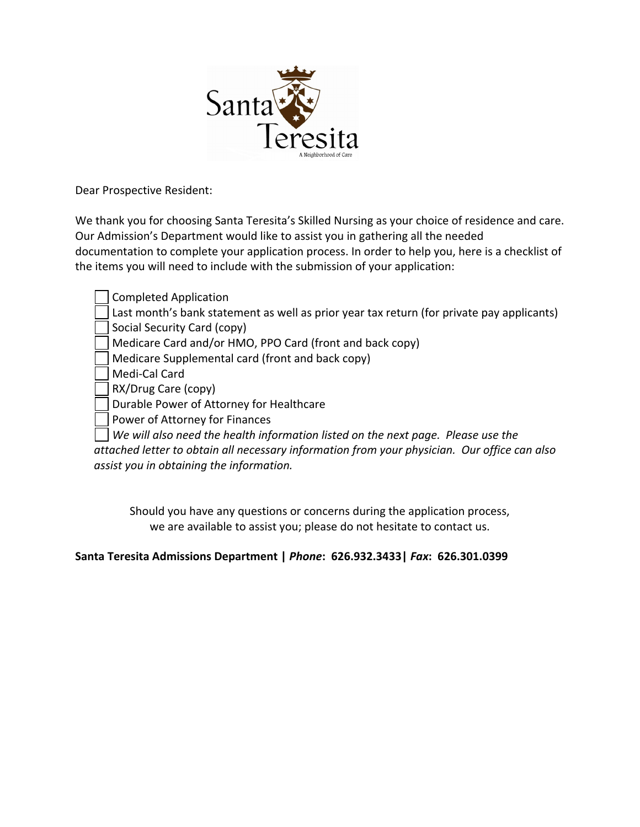

Dear Prospective Resident:

We thank you for choosing Santa Teresita's Skilled Nursing as your choice of residence and care. Our Admission's Department would like to assist you in gathering all the needed documentation to complete your application process. In order to help you, here is a checklist of the items you will need to include with the submission of your application:

Completed Application Last month's bank statement as well as prior year tax return (for private pay applicants) Social Security Card (copy) Medicare Card and/or HMO, PPO Card (front and back copy) Medicare Supplemental card (front and back copy) Medi‐Cal Card RX/Drug Care (copy) Durable Power of Attorney for Healthcare Power of Attorney for Finances

*We will also need the health information listed on the next page. Please use the attached letter to obtain all necessary information from your physician. Our office can also assist you in obtaining the information.*

Should you have any questions or concerns during the application process, we are available to assist you; please do not hesitate to contact us.

**Santa Teresita Admissions Department |** *Phone***: 626.932.3433|** *Fax***: 626.301.0399**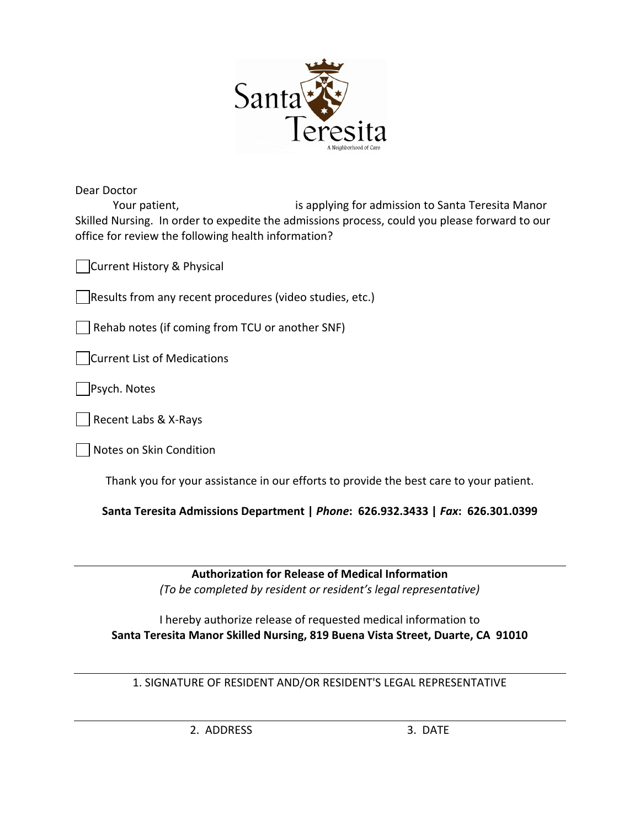

Dear Doctor Your patient, *Sharehoff* is applying for admission to Santa Teresita Manor Skilled Nursing. In order to expedite the admissions process, could you please forward to our office for review the following health information?

Current History & Physical

Results from any recent procedures (video studies, etc.)

Rehab notes (if coming from TCU or another SNF)

Current List of Medications

Psych. Notes

Recent Labs & X‐Rays

Notes on Skin Condition

Thank you for your assistance in our efforts to provide the best care to your patient.

**Santa Teresita Admissions Department |** *Phone***: 626.932.3433 |** *Fax***: 626.301.0399**

**Authorization for Release of Medical Information** *(To be completed by resident or resident's legal representative)*

I hereby authorize release of requested medical information to **Santa Teresita Manor Skilled Nursing, 819 Buena Vista Street, Duarte, CA 91010**

1. SIGNATURE OF RESIDENT AND/OR RESIDENT'S LEGAL REPRESENTATIVE

2. ADDRESS 3. DATE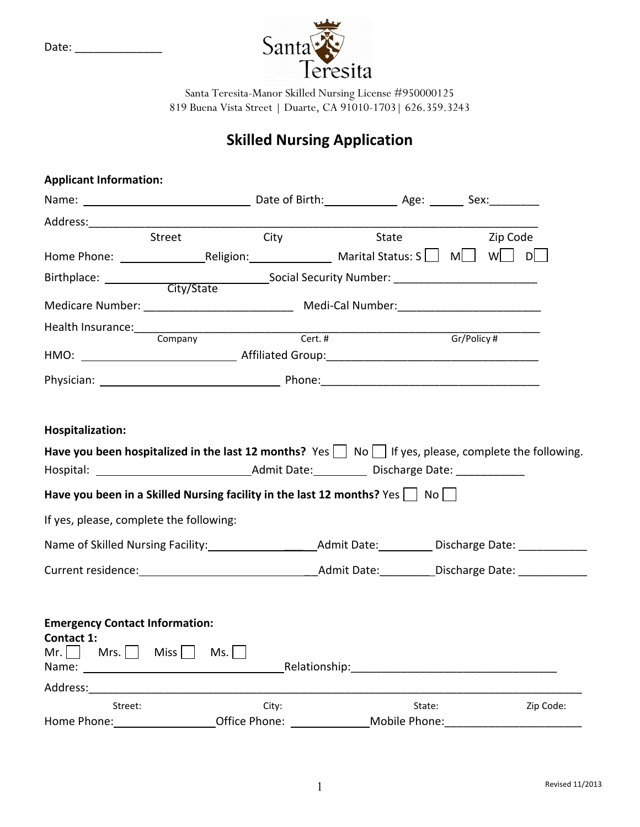

Santa Teresita-Manor Skilled Nursing License #950000125 819 Buena Vista Street | Duarte, CA 91010-1703| 626.359.3243

## **Skilled Nursing Application**

| <b>Applicant Information:</b>                                                                                                                                                                                                             |         |              |            |
|-------------------------------------------------------------------------------------------------------------------------------------------------------------------------------------------------------------------------------------------|---------|--------------|------------|
|                                                                                                                                                                                                                                           |         |              |            |
|                                                                                                                                                                                                                                           |         |              |            |
| Street                                                                                                                                                                                                                                    | City    | <b>State</b> | Zip Code   |
|                                                                                                                                                                                                                                           |         |              |            |
| Birthplace: ___________                                                                                                                                                                                                                   |         |              |            |
| Medicare Number: ___________________________________ Medi-Cal Number: ______________________________                                                                                                                                      |         |              |            |
| Company                                                                                                                                                                                                                                   | Cert. # |              | Gr/Policy# |
|                                                                                                                                                                                                                                           |         |              |            |
|                                                                                                                                                                                                                                           |         |              |            |
| Hospitalization:<br>Have you been hospitalized in the last 12 months? Yes $\vert \ \vert$ No $\vert \ \vert$ If yes, please, complete the following.                                                                                      |         |              |            |
| Have you been in a Skilled Nursing facility in the last 12 months? Yes $\vert$ No $\vert$ N<br>If yes, please, complete the following:                                                                                                    |         |              |            |
|                                                                                                                                                                                                                                           |         |              |            |
|                                                                                                                                                                                                                                           |         |              |            |
| <b>Emergency Contact Information:</b><br>Contact 1:<br>Mr. $\Box$ Mrs. $\Box$<br>$Miss$    <br>Ms.                                                                                                                                        |         |              |            |
| Address: and the state of the state of the state of the state of the state of the state of the state of the state of the state of the state of the state of the state of the state of the state of the state of the state of t<br>Street: | City:   | State:       | Zip Code:  |

Date: \_\_\_\_\_\_\_\_\_\_\_\_\_\_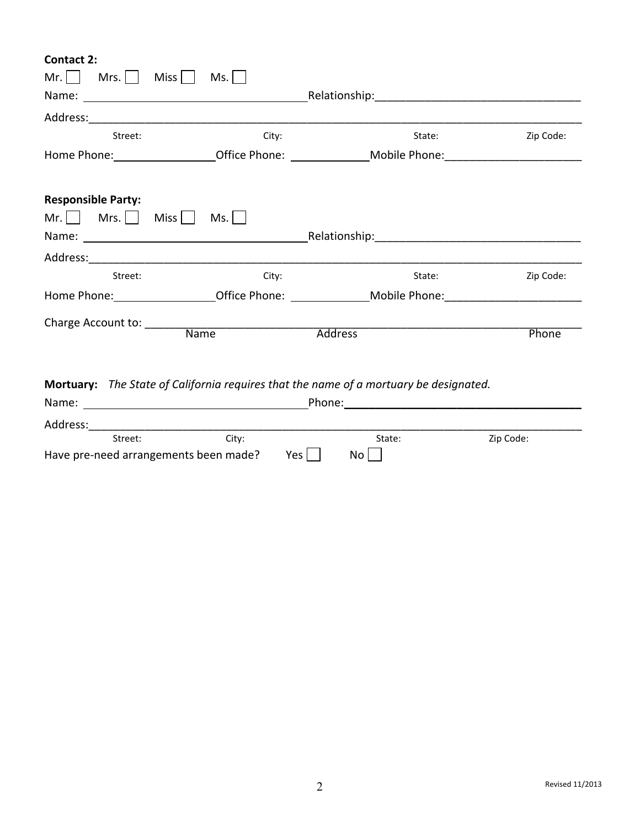**Contact 2:**

| Mr.<br>Mrs.               | <b>Miss</b><br>Ms.                                                                                   |                |           |
|---------------------------|------------------------------------------------------------------------------------------------------|----------------|-----------|
|                           |                                                                                                      |                |           |
|                           |                                                                                                      |                |           |
| Street:                   | City:                                                                                                | State:         | Zip Code: |
|                           | Home Phone: Coffice Phone: Coffice Phone: Mobile Phone:                                              |                |           |
|                           |                                                                                                      |                |           |
| <b>Responsible Party:</b> |                                                                                                      |                |           |
| $Mr.$   Mrs.              | Miss<br>Ms.                                                                                          |                |           |
|                           |                                                                                                      |                |           |
|                           |                                                                                                      |                |           |
| Street:                   | City:                                                                                                | State:         | Zip Code: |
|                           | Home Phone: ___________________Office Phone: _______________Mobile Phone: __________________________ |                |           |
| Charge Account to:        |                                                                                                      |                |           |
|                           | <b>Name</b>                                                                                          | <b>Address</b> | Phone     |

**Mortuary:**  *The State of California requires that the name of a mortuary be designated.*

| Name:                                 |       | Phone: |        |           |
|---------------------------------------|-------|--------|--------|-----------|
| Address:                              |       |        |        |           |
| Street:                               | City: |        | State: | Zip Code: |
| Have pre-need arrangements been made? |       | Yes l  | No     |           |